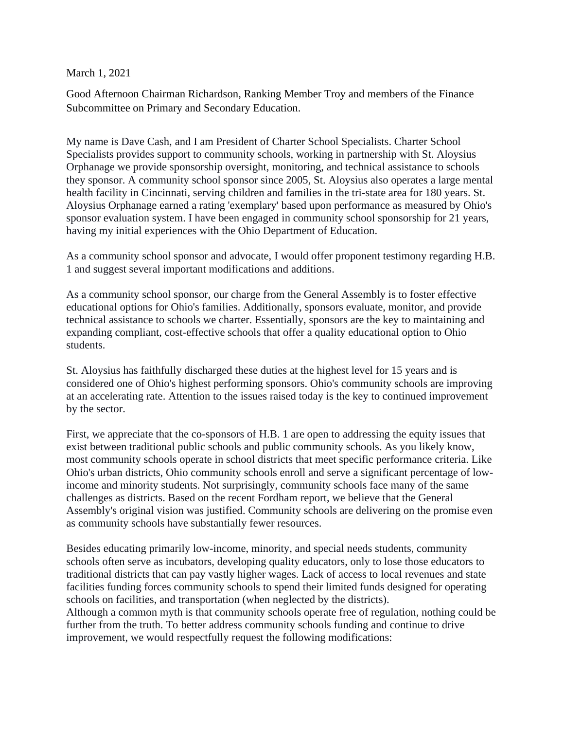March 1, 2021

Good Afternoon Chairman Richardson, Ranking Member Troy and members of the Finance Subcommittee on Primary and Secondary Education.

My name is Dave Cash, and I am President of Charter School Specialists. Charter School Specialists provides support to community schools, working in partnership with St. Aloysius Orphanage we provide sponsorship oversight, monitoring, and technical assistance to schools they sponsor. A community school sponsor since 2005, St. Aloysius also operates a large mental health facility in Cincinnati, serving children and families in the tri-state area for 180 years. St. Aloysius Orphanage earned a rating 'exemplary' based upon performance as measured by Ohio's sponsor evaluation system. I have been engaged in community school sponsorship for 21 years, having my initial experiences with the Ohio Department of Education.

As a community school sponsor and advocate, I would offer proponent testimony regarding H.B. 1 and suggest several important modifications and additions.

As a community school sponsor, our charge from the General Assembly is to foster effective educational options for Ohio's families. Additionally, sponsors evaluate, monitor, and provide technical assistance to schools we charter. Essentially, sponsors are the key to maintaining and expanding compliant, cost-effective schools that offer a quality educational option to Ohio students.

St. Aloysius has faithfully discharged these duties at the highest level for 15 years and is considered one of Ohio's highest performing sponsors. Ohio's community schools are improving at an accelerating rate. Attention to the issues raised today is the key to continued improvement by the sector.

First, we appreciate that the co-sponsors of H.B. 1 are open to addressing the equity issues that exist between traditional public schools and public community schools. As you likely know, most community schools operate in school districts that meet specific performance criteria. Like Ohio's urban districts, Ohio community schools enroll and serve a significant percentage of lowincome and minority students. Not surprisingly, community schools face many of the same challenges as districts. Based on the recent Fordham report, we believe that the General Assembly's original vision was justified. Community schools are delivering on the promise even as community schools have substantially fewer resources.

Besides educating primarily low-income, minority, and special needs students, community schools often serve as incubators, developing quality educators, only to lose those educators to traditional districts that can pay vastly higher wages. Lack of access to local revenues and state facilities funding forces community schools to spend their limited funds designed for operating schools on facilities, and transportation (when neglected by the districts).

Although a common myth is that community schools operate free of regulation, nothing could be further from the truth. To better address community schools funding and continue to drive improvement, we would respectfully request the following modifications: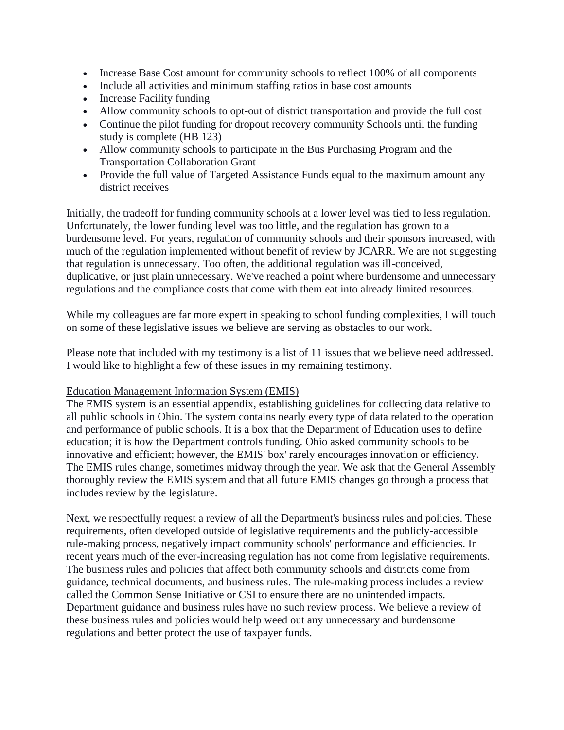- Increase Base Cost amount for community schools to reflect 100% of all components
- Include all activities and minimum staffing ratios in base cost amounts
- Increase Facility funding
- Allow community schools to opt-out of district transportation and provide the full cost
- Continue the pilot funding for dropout recovery community Schools until the funding study is complete (HB 123)
- Allow community schools to participate in the Bus Purchasing Program and the Transportation Collaboration Grant
- Provide the full value of Targeted Assistance Funds equal to the maximum amount any district receives

Initially, the tradeoff for funding community schools at a lower level was tied to less regulation. Unfortunately, the lower funding level was too little, and the regulation has grown to a burdensome level. For years, regulation of community schools and their sponsors increased, with much of the regulation implemented without benefit of review by JCARR. We are not suggesting that regulation is unnecessary. Too often, the additional regulation was ill-conceived, duplicative, or just plain unnecessary. We've reached a point where burdensome and unnecessary regulations and the compliance costs that come with them eat into already limited resources.

While my colleagues are far more expert in speaking to school funding complexities, I will touch on some of these legislative issues we believe are serving as obstacles to our work.

Please note that included with my testimony is a list of 11 issues that we believe need addressed. I would like to highlight a few of these issues in my remaining testimony.

## Education Management Information System (EMIS)

The EMIS system is an essential appendix, establishing guidelines for collecting data relative to all public schools in Ohio. The system contains nearly every type of data related to the operation and performance of public schools. It is a box that the Department of Education uses to define education; it is how the Department controls funding. Ohio asked community schools to be innovative and efficient; however, the EMIS' box' rarely encourages innovation or efficiency. The EMIS rules change, sometimes midway through the year. We ask that the General Assembly thoroughly review the EMIS system and that all future EMIS changes go through a process that includes review by the legislature.

Next, we respectfully request a review of all the Department's business rules and policies. These requirements, often developed outside of legislative requirements and the publicly-accessible rule-making process, negatively impact community schools' performance and efficiencies. In recent years much of the ever-increasing regulation has not come from legislative requirements. The business rules and policies that affect both community schools and districts come from guidance, technical documents, and business rules. The rule-making process includes a review called the Common Sense Initiative or CSI to ensure there are no unintended impacts. Department guidance and business rules have no such review process. We believe a review of these business rules and policies would help weed out any unnecessary and burdensome regulations and better protect the use of taxpayer funds.